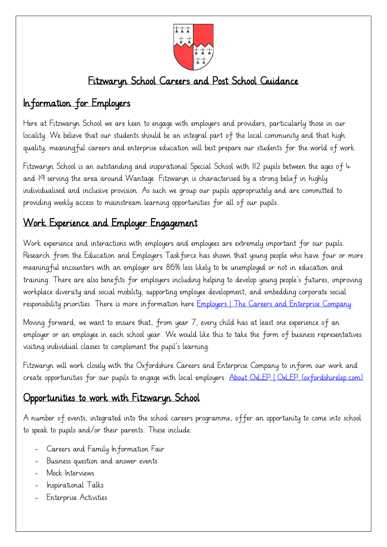

## Fitzwaryn School Careers and Post School Guidance

# Information for Employers

Here at Fitzwaryn School we are keen to engage with employers and providers, particularly those in our locality. We believe that our students should be an integral part of the local community and that high quality, meaningful careers and enterprise education will best prepare our students for the world of work.

Fitzwaryn School is an outstanding and inspirational Special School with 112 pupils between the ages of 4 and 19 serving the area around Wantage. Fitzwaryn is characterised by a strong belief in highly individualised and inclusive provision. As such we group our pupils appropriately and are committed to providing weekly access to mainstream learning opportunities for all of our pupils.

### Work Experience and Employer Engagement

Work experience and interactions with employers and employees are extremely important for our pupils. Research from the Education and Employers Taskforce has shown that young people who have four or more meaningful encounters with an employer are 86% less likely to be unemployed or not in education and training. There are also benefits for employers including helping to develop young people's futures, improving workplace diversity and social mobility, supporting employee development, and embedding corporate social responsibility priorities. There is more information here [Employers | The Careers and Enterprise Company.](https://www.careersandenterprise.co.uk/employers/)

Moving forward, we want to ensure that, from year 7, every child has at least one experience of an employer or an employee in each school year. We would like this to take the form of business representatives visiting individual classes to complement the pupil's learning.

Fitzwaryn will work closely with the Oxfordshire Careers and Enterprise Company to inform our work and create opportunities for our pupils to engage with local employers. [About OxLEP | OxLEP \(oxfordshirelep.com\)](https://www.oxfordshirelep.com/about/about-oxlep)

### Opportunities to work with Fitzwaryn School

A number of events, integrated into the school careers programme, offer an opportunity to come into school to speak to pupils and/or their parents. These include:

- Careers and Family Information Fair
- Business question and answer events
- Mock Interviews
- Inspirational Talks
- Enterprise Activities